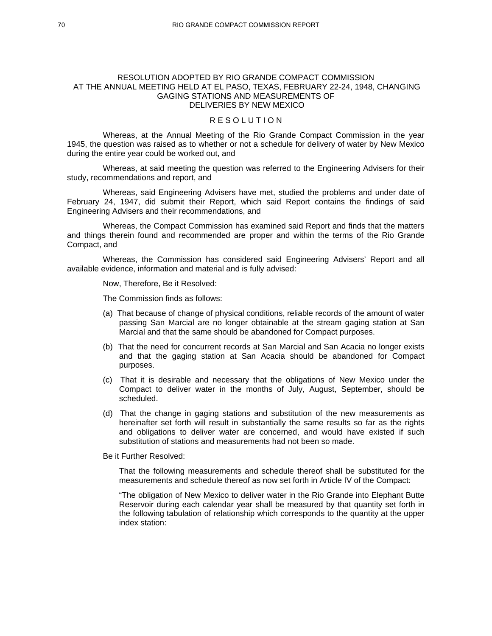### RESOLUTION ADOPTED BY RIO GRANDE COMPACT COMMISSION AT THE ANNUAL MEETING HELD AT EL PASO, TEXAS, FEBRUARY 22-24, 1948, CHANGING GAGING STATIONS AND MEASUREMENTS OF DELIVERIES BY NEW MEXICO

# R E S O L U T I O N

 Whereas, at the Annual Meeting of the Rio Grande Compact Commission in the year 1945, the question was raised as to whether or not a schedule for delivery of water by New Mexico during the entire year could be worked out, and

 Whereas, at said meeting the question was referred to the Engineering Advisers for their study, recommendations and report, and

 Whereas, said Engineering Advisers have met, studied the problems and under date of February 24, 1947, did submit their Report, which said Report contains the findings of said Engineering Advisers and their recommendations, and

 Whereas, the Compact Commission has examined said Report and finds that the matters and things therein found and recommended are proper and within the terms of the Rio Grande Compact, and

 Whereas, the Commission has considered said Engineering Advisers' Report and all available evidence, information and material and is fully advised:

Now, Therefore, Be it Resolved:

The Commission finds as follows:

- (a) That because of change of physical conditions, reliable records of the amount of water passing San Marcial are no longer obtainable at the stream gaging station at San Marcial and that the same should be abandoned for Compact purposes.
- (b) That the need for concurrent records at San Marcial and San Acacia no longer exists and that the gaging station at San Acacia should be abandoned for Compact purposes.
- (c) That it is desirable and necessary that the obligations of New Mexico under the Compact to deliver water in the months of July, August, September, should be scheduled.
- (d) That the change in gaging stations and substitution of the new measurements as hereinafter set forth will result in substantially the same results so far as the rights and obligations to deliver water are concerned, and would have existed if such substitution of stations and measurements had not been so made.

Be it Further Resolved:

That the following measurements and schedule thereof shall be substituted for the measurements and schedule thereof as now set forth in Article IV of the Compact:

"The obligation of New Mexico to deliver water in the Rio Grande into Elephant Butte Reservoir during each calendar year shall be measured by that quantity set forth in the following tabulation of relationship which corresponds to the quantity at the upper index station: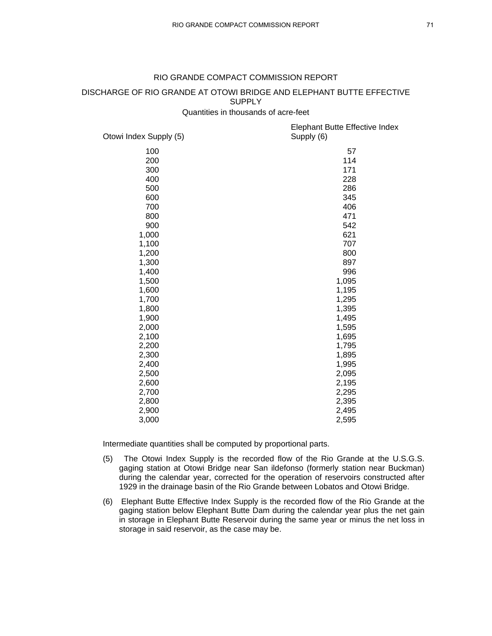# RIO GRANDE COMPACT COMMISSION REPORT

# DISCHARGE OF RIO GRANDE AT OTOWI BRIDGE AND ELEPHANT BUTTE EFFECTIVE **SUPPLY**

Quantities in thousands of acre-feet

| Otowi Index Supply (5) | Elephant Butte Effective Index<br>Supply (6) |
|------------------------|----------------------------------------------|
| 100                    | 57                                           |
| 200                    | 114                                          |
| 300                    | 171                                          |
| 400                    | 228                                          |
| 500                    | 286                                          |
| 600                    | 345                                          |
| 700                    | 406                                          |
| 800                    | 471                                          |
| 900                    | 542                                          |
| 1,000                  | 621                                          |
| 1,100                  | 707                                          |
| 1,200                  | 800                                          |
| 1,300                  | 897                                          |
| 1,400                  | 996                                          |
| 1,500                  | 1,095                                        |
| 1,600                  | 1,195                                        |
| 1,700                  | 1,295                                        |
| 1,800                  | 1,395                                        |
| 1,900                  | 1,495                                        |
| 2,000                  | 1,595                                        |
| 2,100                  | 1,695                                        |
| 2,200                  | 1,795                                        |
| 2,300                  | 1,895                                        |
| 2,400                  | 1,995                                        |
| 2,500                  | 2,095                                        |
| 2,600                  | 2,195                                        |
| 2,700                  | 2,295                                        |
| 2,800                  | 2,395                                        |
| 2,900                  | 2,495                                        |
| 3,000                  | 2,595                                        |

Intermediate quantities shall be computed by proportional parts.

- (5) The Otowi Index Supply is the recorded flow of the Rio Grande at the U.S.G.S. gaging station at Otowi Bridge near San ildefonso (formerly station near Buckman) during the calendar year, corrected for the operation of reservoirs constructed after 1929 in the drainage basin of the Rio Grande between Lobatos and Otowi Bridge.
- (6) Elephant Butte Effective Index Supply is the recorded flow of the Rio Grande at the gaging station below Elephant Butte Dam during the calendar year plus the net gain in storage in Elephant Butte Reservoir during the same year or minus the net loss in storage in said reservoir, as the case may be.